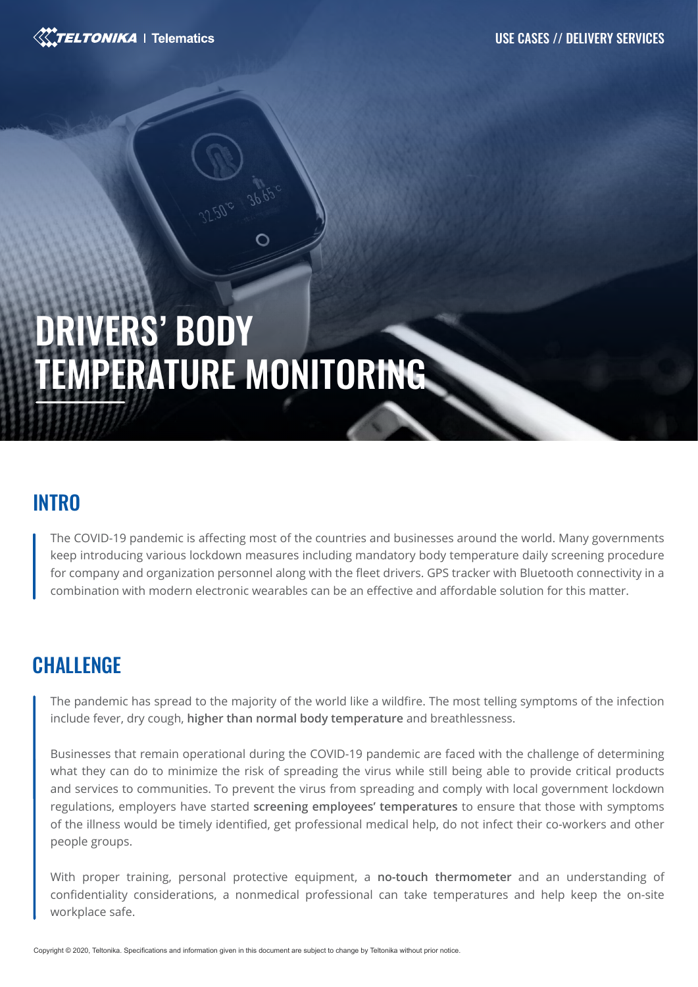

# DRIVERS' BODY TEMPERATURE MONITORING

#### **INTRO**

The COVID-19 pandemic is affecting most of the countries and businesses around the world. Many governments keep introducing various lockdown measures including mandatory body temperature daily screening procedure for company and organization personnel along with the fleet drivers. GPS tracker with Bluetooth connectivity in a combination with modern electronic wearables can be an effective and affordable solution for this matter.

# **CHALLENGE**

The pandemic has spread to the majority of the world like a wildfire. The most telling symptoms of the infection include fever, dry cough, **higher than normal body temperature** and breathlessness.

Businesses that remain operational during the COVID-19 pandemic are faced with the challenge of determining what they can do to minimize the risk of spreading the virus while still being able to provide critical products and services to communities. To prevent the virus from spreading and comply with local government lockdown regulations, employers have started **screening employees' temperatures** to ensure that those with symptoms of the illness would be timely identified, get professional medical help, do not infect their co-workers and other people groups.

With proper training, personal protective equipment, a **no-touch thermometer** and an understanding of confidentiality considerations, a nonmedical professional can take temperatures and help keep the on-site workplace safe.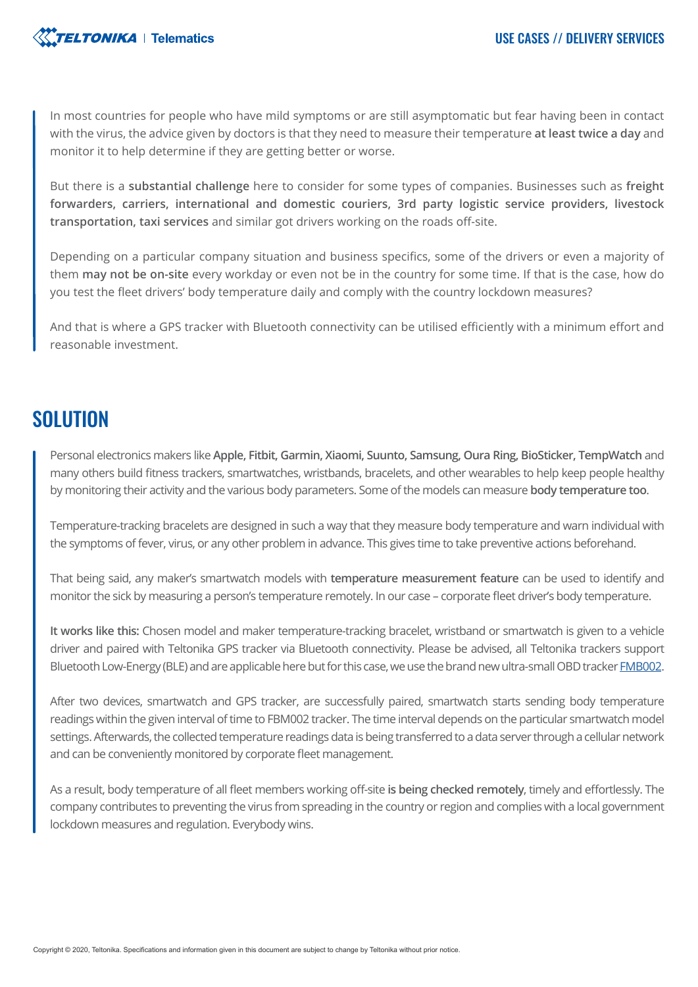

In most countries for people who have mild symptoms or are still asymptomatic but fear having been in contact with the virus, the advice given by doctors is that they need to measure their temperature **at least twice a day** and monitor it to help determine if they are getting better or worse.

But there is a **substantial challenge** here to consider for some types of companies. Businesses such as **freight forwarders, carriers, international and domestic couriers, 3rd party logistic service providers, livestock transportation, taxi services** and similar got drivers working on the roads off-site.

Depending on a particular company situation and business specifics, some of the drivers or even a majority of them **may not be on-site** every workday or even not be in the country for some time. If that is the case, how do you test the fleet drivers' body temperature daily and comply with the country lockdown measures?

And that is where a GPS tracker with Bluetooth connectivity can be utilised efficiently with a minimum effort and reasonable investment.

#### SOLUTION

Personal electronics makers like **Apple, Fitbit, Garmin, Xiaomi, Suunto, Samsung, Oura Ring, BioSticker, TempWatch** and many others build fitness trackers, smartwatches, wristbands, bracelets, and other wearables to help keep people healthy by monitoring their activity and the various body parameters. Some of the models can measure **body temperature too**.

Temperature-tracking bracelets are designed in such a way that they measure body temperature and warn individual with the symptoms of fever, virus, or any other problem in advance. This gives time to take preventive actions beforehand.

That being said, any maker's smartwatch models with **temperature measurement feature** can be used to identify and monitor the sick by measuring a person's temperature remotely. In our case – corporate fleet driver's body temperature.

**It works like this:** Chosen model and maker temperature-tracking bracelet, wristband or smartwatch is given to a vehicle driver and paired with Teltonika GPS tracker via Bluetooth connectivity. Please be advised, all Teltonika trackers support Bluetooth Low-Energy (BLE) and are applicable here but for this case, we use the brand new ultra-small OBD tracker **FMB002**.

After two devices, smartwatch and GPS tracker, are successfully paired, smartwatch starts sending body temperature readings within the given interval of time to FBM002 tracker. The time interval depends on the particular smartwatch model settings. Afterwards, the collected temperature readings data is being transferred to a data server through a cellular network and can be conveniently monitored by corporate fleet management.

As a result, body temperature of all fleet members working off-site **is being checked remotely**, timely and effortlessly. The company contributes to preventing the virus from spreading in the country or region and complies with a local government lockdown measures and regulation. Everybody wins.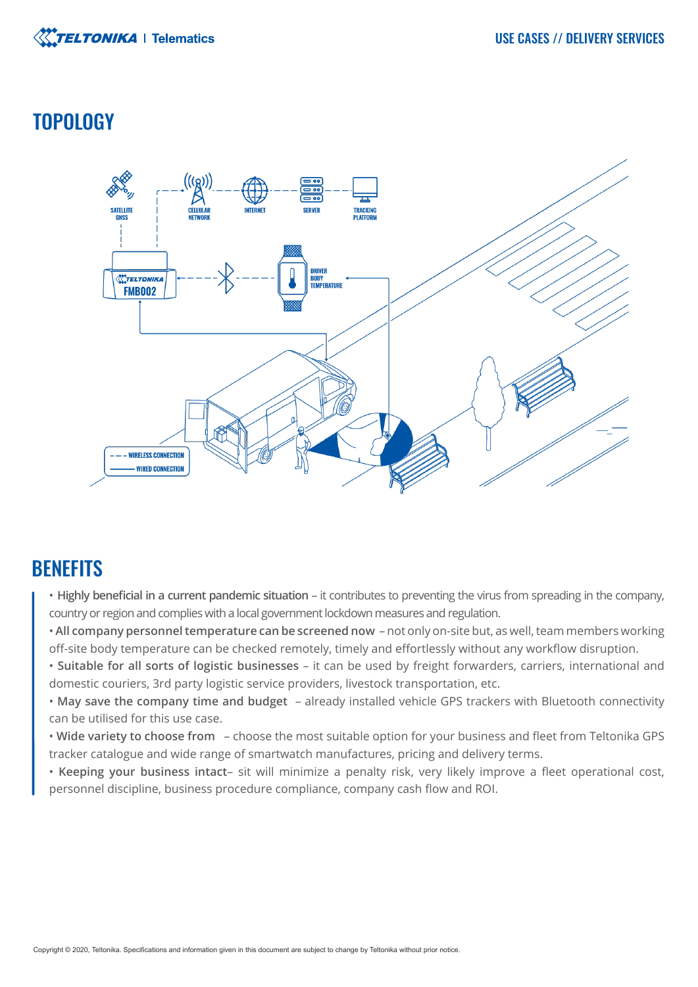

# **TOPOLOGY**



# **BENEFITS**

- **Highly beneficial in a current pandemic situation** it contributes to preventing the virus from spreading in the company, country or region and complies with a local government lockdown measures and regulation.
- **All company personnel temperature can be screened now**  not only on-site but, as well, team members working off-site body temperature can be checked remotely, timely and effortlessly without any workflow disruption.
- **Suitable for all sorts of logistic businesses** it can be used by freight forwarders, carriers, international and domestic couriers, 3rd party logistic service providers, livestock transportation, etc.
- **May save the company time and budget**  already installed vehicle GPS trackers with Bluetooth connectivity can be utilised for this use case.
- **Wide variety to choose from**  choose the most suitable option for your business and fleet from Teltonika GPS tracker catalogue and wide range of smartwatch manufactures, pricing and delivery terms.
- **Keeping your business intact** sit will minimize a penalty risk, very likely improve a fleet operational cost, personnel discipline, business procedure compliance, company cash flow and ROI.